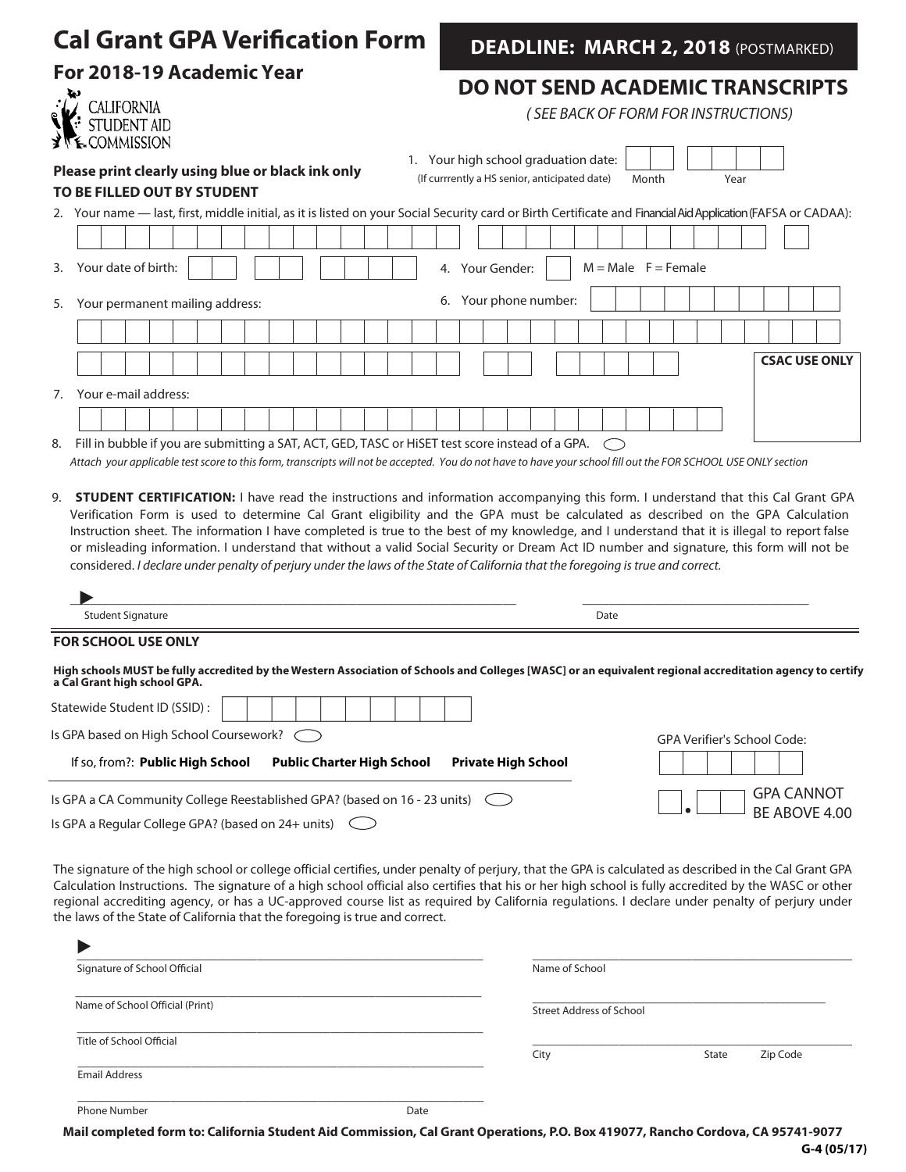| <b>Cal Grant GPA Verification Form</b>                                                                                                 | <b>DEADLINE: MARCH 2, 2018 (POSTMARKED)</b><br><b>DO NOT SEND ACADEMIC TRANSCRIPTS</b><br>(SEE BACK OF FORM FOR INSTRUCTIONS)                                                                                                                                                                                                                                                                                                                                                                                                                                          |  |  |  |
|----------------------------------------------------------------------------------------------------------------------------------------|------------------------------------------------------------------------------------------------------------------------------------------------------------------------------------------------------------------------------------------------------------------------------------------------------------------------------------------------------------------------------------------------------------------------------------------------------------------------------------------------------------------------------------------------------------------------|--|--|--|
| For 2018-19 Academic Year<br><b>CALIFORNIA</b><br><b>COMMISSION</b>                                                                    |                                                                                                                                                                                                                                                                                                                                                                                                                                                                                                                                                                        |  |  |  |
| Please print clearly using blue or black ink only<br>TO BE FILLED OUT BY STUDENT                                                       | 1. Your high school graduation date:<br>(If currrently a HS senior, anticipated date)<br>Month<br>Year                                                                                                                                                                                                                                                                                                                                                                                                                                                                 |  |  |  |
|                                                                                                                                        | 2. Your name — last, first, middle initial, as it is listed on your Social Security card or Birth Certificate and Financial Aid Application (FAFSA or CADAA):                                                                                                                                                                                                                                                                                                                                                                                                          |  |  |  |
| Your date of birth:<br>3.                                                                                                              | $M = Male$ $F = Female$<br>4. Your Gender:                                                                                                                                                                                                                                                                                                                                                                                                                                                                                                                             |  |  |  |
| Your permanent mailing address:<br>5.                                                                                                  | 6. Your phone number:                                                                                                                                                                                                                                                                                                                                                                                                                                                                                                                                                  |  |  |  |
|                                                                                                                                        |                                                                                                                                                                                                                                                                                                                                                                                                                                                                                                                                                                        |  |  |  |
|                                                                                                                                        | <b>CSAC USE ONLY</b>                                                                                                                                                                                                                                                                                                                                                                                                                                                                                                                                                   |  |  |  |
| Your e-mail address:<br>7.<br>Fill in bubble if you are submitting a SAT, ACT, GED, TASC or HiSET test score instead of a GPA.<br>8.   | Attach your applicable test score to this form, transcripts will not be accepted. You do not have to have your school fill out the FOR SCHOOL USE ONLY section                                                                                                                                                                                                                                                                                                                                                                                                         |  |  |  |
| 9.<br>considered. I declare under penalty of perjury under the laws of the State of California that the foregoing is true and correct. | <b>STUDENT CERTIFICATION:</b> I have read the instructions and information accompanying this form. I understand that this Cal Grant GPA<br>Verification Form is used to determine Cal Grant eligibility and the GPA must be calculated as described on the GPA Calculation<br>Instruction sheet. The information I have completed is true to the best of my knowledge, and I understand that it is illegal to report false<br>or misleading information. I understand that without a valid Social Security or Dream Act ID number and signature, this form will not be |  |  |  |
|                                                                                                                                        |                                                                                                                                                                                                                                                                                                                                                                                                                                                                                                                                                                        |  |  |  |
| <b>Student Signature</b><br><b>FOR SCHOOL USE ONLY</b>                                                                                 | Date                                                                                                                                                                                                                                                                                                                                                                                                                                                                                                                                                                   |  |  |  |
| a Cal Grant high school GPA.<br>Statewide Student ID (SSID):                                                                           | High schools MUST be fully accredited by the Western Association of Schools and Colleges [WASC] or an equivalent regional accreditation agency to certify                                                                                                                                                                                                                                                                                                                                                                                                              |  |  |  |
| Is GPA based on High School Coursework?                                                                                                | GPA Verifier's School Code:                                                                                                                                                                                                                                                                                                                                                                                                                                                                                                                                            |  |  |  |
| If so, from?: Public High School<br><b>Public Charter High School</b>                                                                  | <b>Private High School</b>                                                                                                                                                                                                                                                                                                                                                                                                                                                                                                                                             |  |  |  |
| Is GPA a CA Community College Reestablished GPA? (based on 16 - 23 units)<br>Is GPA a Regular College GPA? (based on 24+ units)        | <b>GPA CANNOT</b><br>BE ABOVE 4.00                                                                                                                                                                                                                                                                                                                                                                                                                                                                                                                                     |  |  |  |
|                                                                                                                                        | The signature of the high school or college official certifies, under penalty of perjury, that the GPA is calculated as described in the Cal Grant GPA<br>Calculation Instructions. The signature of a high school official also certifies that his or her high school is fully accredited by the WASC or other                                                                                                                                                                                                                                                        |  |  |  |

| the laws of the State of California that the foregoing is true and correct. |      |                                 |       |          |
|-----------------------------------------------------------------------------|------|---------------------------------|-------|----------|
|                                                                             |      |                                 |       |          |
| Signature of School Official                                                |      | Name of School                  |       |          |
| Name of School Official (Print)                                             |      | <b>Street Address of School</b> |       |          |
| Title of School Official                                                    |      | City                            | State | Zip Code |
| <b>Email Address</b>                                                        |      |                                 |       |          |
| <b>Phone Number</b>                                                         | Date |                                 |       |          |

regional accrediting agency, or has a UC-approved course list as required by California regulations. I declare under penalty of perjury under

**Mail completed form to: California Student Aid Commission, Cal Grant Operations, P.O. Box 419077, Rancho Cordova, CA 95741-9077**